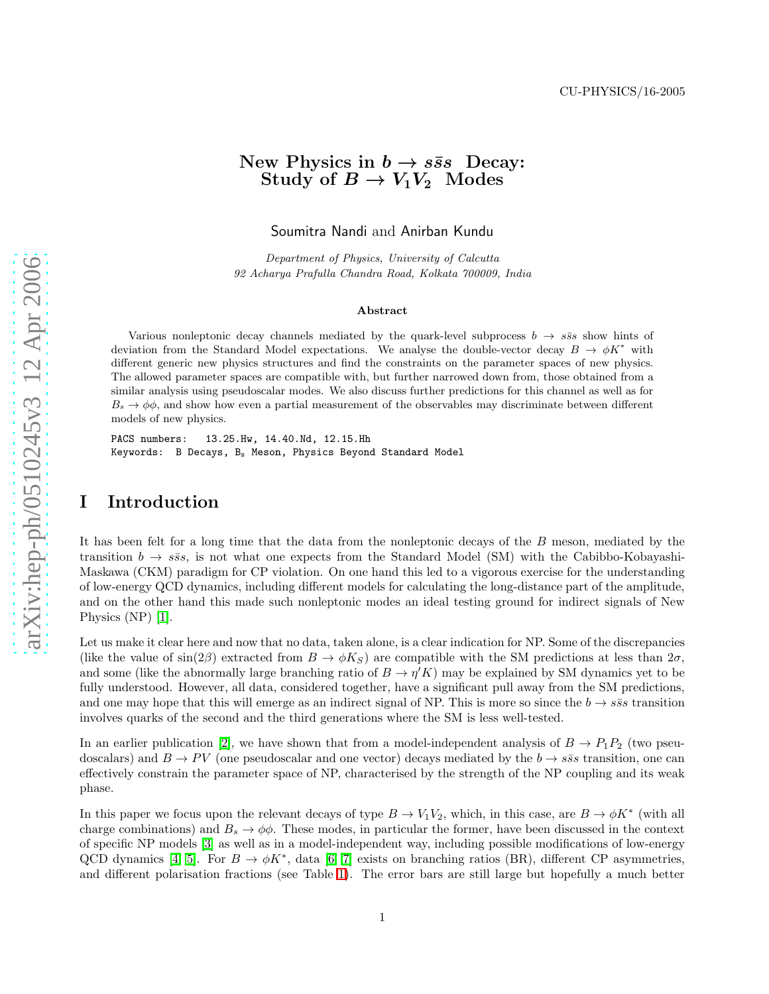[arXiv:hep-ph/0510245v3 12 Apr 2006](http://arxiv.org/abs/hep-ph/0510245v3)

 $arX$ iv:hep-ph/0510245v3 12 Apr 2006

# New Physics in  $b \to s\bar{s}s$  Decay: Study of  $B \to V_1V_2$  Modes

Soumitra Nandi and Anirban Kundu

Department of Physics, University of Calcutta 92 Acharya Prafulla Chandra Road, Kolkata 700009, India

#### Abstract

Various nonleptonic decay channels mediated by the quark-level subprocess  $b \to s\bar{s}s$  show hints of deviation from the Standard Model expectations. We analyse the double-vector decay  $B \to \phi K^*$  with different generic new physics structures and find the constraints on the parameter spaces of new physics. The allowed parameter spaces are compatible with, but further narrowed down from, those obtained from a similar analysis using pseudoscalar modes. We also discuss further predictions for this channel as well as for  $B_s \to \phi\phi$ , and show how even a partial measurement of the observables may discriminate between different models of new physics.

PACS numbers: 13.25.Hw, 14.40.Nd, 12.15.Hh Keywords: B Decays, B<sub>s</sub> Meson, Physics Beyond Standard Model

# I Introduction

It has been felt for a long time that the data from the nonleptonic decays of the B meson, mediated by the transition  $b \to s\bar{s}s$ , is not what one expects from the Standard Model (SM) with the Cabibbo-Kobayashi-Maskawa (CKM) paradigm for CP violation. On one hand this led to a vigorous exercise for the understanding of low-energy QCD dynamics, including different models for calculating the long-distance part of the amplitude, and on the other hand this made such nonleptonic modes an ideal testing ground for indirect signals of New Physics (NP) [\[1\]](#page-11-0).

Let us make it clear here and now that no data, taken alone, is a clear indication for NP. Some of the discrepancies (like the value of  $\sin(2\beta)$  extracted from  $B \to \phi K_S$ ) are compatible with the SM predictions at less than  $2\sigma$ , and some (like the abnormally large branching ratio of  $B \to \eta' K$ ) may be explained by SM dynamics yet to be fully understood. However, all data, considered together, have a significant pull away from the SM predictions, and one may hope that this will emerge as an indirect signal of NP. This is more so since the  $b \to s\bar{s}s$  transition involves quarks of the second and the third generations where the SM is less well-tested.

In an earlier publication [\[2\]](#page-11-1), we have shown that from a model-independent analysis of  $B \to P_1 P_2$  (two pseudoscalars) and  $B \to PV$  (one pseudoscalar and one vector) decays mediated by the  $b \to s\bar{s}s$  transition, one can effectively constrain the parameter space of NP, characterised by the strength of the NP coupling and its weak phase.

In this paper we focus upon the relevant decays of type  $B \to V_1 V_2$ , which, in this case, are  $B \to \phi K^*$  (with all charge combinations) and  $B_s \to \phi\phi$ . These modes, in particular the former, have been discussed in the context of specific NP models [\[3\]](#page-11-2) as well as in a model-independent way, including possible modifications of low-energy QCD dynamics [\[4,](#page-11-3) [5\]](#page-11-4). For  $B \to \phi K^*$ , data [\[6,](#page-11-5) [7\]](#page-12-0) exists on branching ratios (BR), different CP asymmetries, and different polarisation fractions (see Table [1\)](#page-7-0). The error bars are still large but hopefully a much better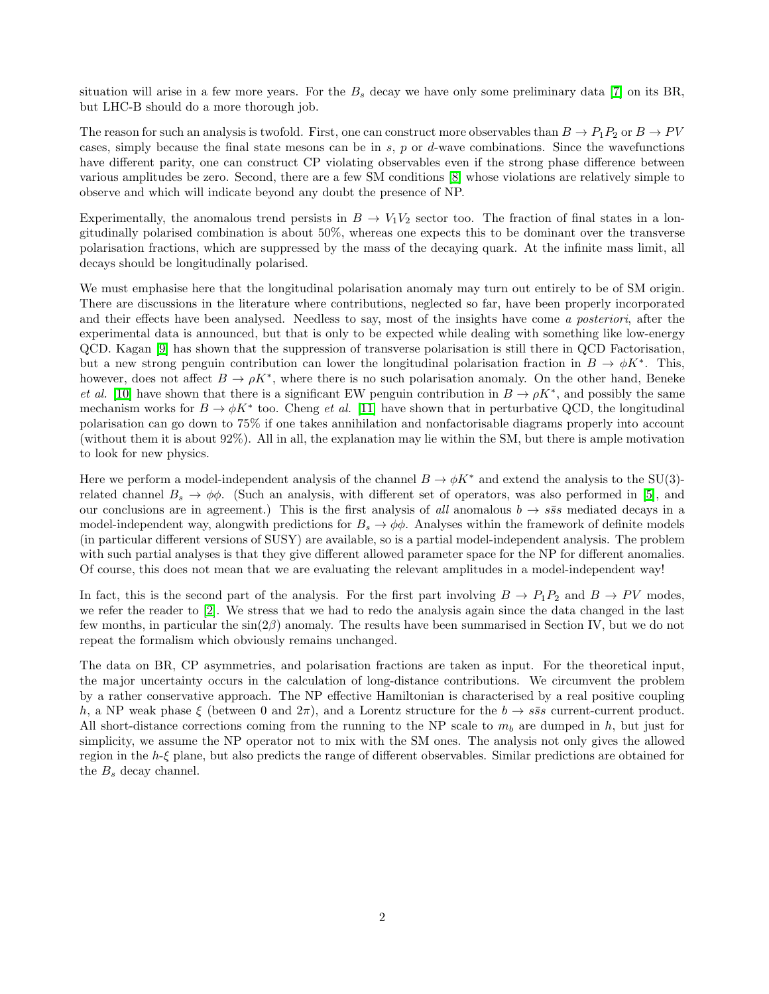situation will arise in a few more years. For the  $B_s$  decay we have only some preliminary data [\[7\]](#page-12-0) on its BR, but LHC-B should do a more thorough job.

The reason for such an analysis is twofold. First, one can construct more observables than  $B \to P_1P_2$  or  $B \to PV$ cases, simply because the final state mesons can be in s,  $p$  or  $d$ -wave combinations. Since the wavefunctions have different parity, one can construct CP violating observables even if the strong phase difference between various amplitudes be zero. Second, there are a few SM conditions [\[8\]](#page-12-1) whose violations are relatively simple to observe and which will indicate beyond any doubt the presence of NP.

Experimentally, the anomalous trend persists in  $B \to V_1V_2$  sector too. The fraction of final states in a longitudinally polarised combination is about 50%, whereas one expects this to be dominant over the transverse polarisation fractions, which are suppressed by the mass of the decaying quark. At the infinite mass limit, all decays should be longitudinally polarised.

We must emphasise here that the longitudinal polarisation anomaly may turn out entirely to be of SM origin. There are discussions in the literature where contributions, neglected so far, have been properly incorporated and their effects have been analysed. Needless to say, most of the insights have come a posteriori, after the experimental data is announced, but that is only to be expected while dealing with something like low-energy QCD. Kagan [\[9\]](#page-12-2) has shown that the suppression of transverse polarisation is still there in QCD Factorisation, but a new strong penguin contribution can lower the longitudinal polarisation fraction in  $B \to \phi K^*$ . This, however, does not affect  $B \to \rho K^*$ , where there is no such polarisation anomaly. On the other hand, Beneke et al. [\[10\]](#page-12-3) have shown that there is a significant EW penguin contribution in  $B \to \rho K^*$ , and possibly the same mechanism works for  $B \to \phi K^*$  too. Cheng *et al.* [\[11\]](#page-12-4) have shown that in perturbative QCD, the longitudinal polarisation can go down to 75% if one takes annihilation and nonfactorisable diagrams properly into account (without them it is about 92%). All in all, the explanation may lie within the SM, but there is ample motivation to look for new physics.

Here we perform a model-independent analysis of the channel  $B \to \phi K^*$  and extend the analysis to the SU(3)related channel  $B_s \to \phi\phi$ . (Such an analysis, with different set of operators, was also performed in [\[5\]](#page-11-4), and our conclusions are in agreement.) This is the first analysis of all anomalous  $b \to s\bar{s}s$  mediated decays in a model-independent way, alongwith predictions for  $B_s \to \phi\phi$ . Analyses within the framework of definite models (in particular different versions of SUSY) are available, so is a partial model-independent analysis. The problem with such partial analyses is that they give different allowed parameter space for the NP for different anomalies. Of course, this does not mean that we are evaluating the relevant amplitudes in a model-independent way!

In fact, this is the second part of the analysis. For the first part involving  $B \to P_1P_2$  and  $B \to PV$  modes, we refer the reader to [\[2\]](#page-11-1). We stress that we had to redo the analysis again since the data changed in the last few months, in particular the sin(2β) anomaly. The results have been summarised in Section IV, but we do not repeat the formalism which obviously remains unchanged.

The data on BR, CP asymmetries, and polarisation fractions are taken as input. For the theoretical input, the major uncertainty occurs in the calculation of long-distance contributions. We circumvent the problem by a rather conservative approach. The NP effective Hamiltonian is characterised by a real positive coupling h, a NP weak phase  $\xi$  (between 0 and  $2\pi$ ), and a Lorentz structure for the  $b \to s\bar{s}s$  current-current product. All short-distance corrections coming from the running to the NP scale to  $m_b$  are dumped in h, but just for simplicity, we assume the NP operator not to mix with the SM ones. The analysis not only gives the allowed region in the h-ξ plane, but also predicts the range of different observables. Similar predictions are obtained for the  $B_s$  decay channel.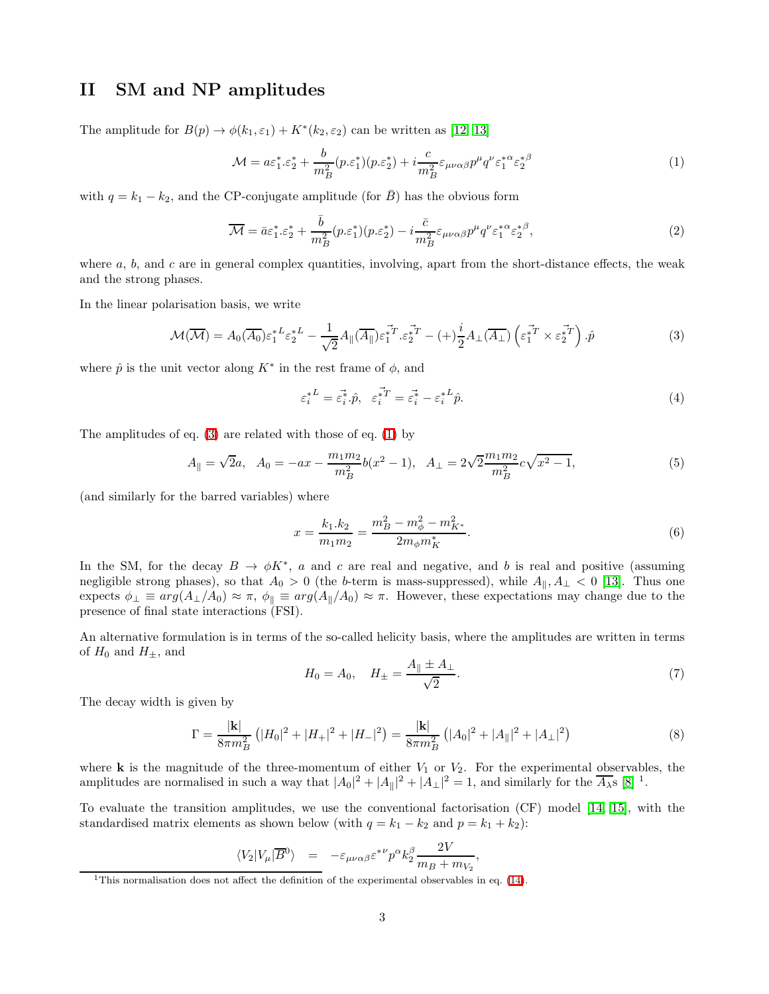# II SM and NP amplitudes

<span id="page-2-1"></span>The amplitude for  $B(p) \to \phi(k_1, \varepsilon_1) + K^*(k_2, \varepsilon_2)$  can be written as [\[12,](#page-12-5) [13\]](#page-12-6)

$$
\mathcal{M} = a\varepsilon_1^* \cdot \varepsilon_2^* + \frac{b}{m_B^2} (p \cdot \varepsilon_1^*) (p \cdot \varepsilon_2^*) + i \frac{c}{m_B^2} \varepsilon_{\mu\nu\alpha\beta} p^\mu q^\nu \varepsilon_1^{*\alpha} \varepsilon_2^{*\beta} \tag{1}
$$

with  $q = k_1 - k_2$ , and the CP-conjugate amplitude (for  $\overline{B}$ ) has the obvious form

$$
\overline{\mathcal{M}} = \bar{a}\varepsilon_1^* \cdot \varepsilon_2^* + \frac{\bar{b}}{m_B^2} (p \cdot \varepsilon_1^*) (p \cdot \varepsilon_2^*) - i \frac{\bar{c}}{m_B^2} \varepsilon_{\mu\nu\alpha\beta} p^\mu q^\nu \varepsilon_1^{*\alpha} \varepsilon_2^{*\beta},\tag{2}
$$

where  $a, b$ , and  $c$  are in general complex quantities, involving, apart from the short-distance effects, the weak and the strong phases.

<span id="page-2-0"></span>In the linear polarisation basis, we write

$$
\mathcal{M}(\overline{\mathcal{M}}) = A_0(\overline{A_0}) \varepsilon_1^{*L} \varepsilon_2^{*L} - \frac{1}{\sqrt{2}} A_{\parallel}(\overline{A_{\parallel}}) \varepsilon_1^{*T} \varepsilon_2^{*T} - (+) \frac{i}{2} A_{\perp}(\overline{A_{\perp}}) \left( \varepsilon_1^{*T} \times \varepsilon_2^{*T} \right) \cdot \hat{p}
$$
(3)

where  $\hat{p}$  is the unit vector along  $K^*$  in the rest frame of  $\phi$ , and

$$
\varepsilon_i^{*L} = \vec{\varepsilon_i^*} \cdot \hat{p}, \quad \vec{\varepsilon_i^*}^T = \vec{\varepsilon_i^*} - \vec{\varepsilon_i^*}^L \hat{p}.
$$
\n
$$
\tag{4}
$$

The amplitudes of eq. [\(3\)](#page-2-0) are related with those of eq. [\(1\)](#page-2-1) by

$$
A_{\parallel} = \sqrt{2}a, \quad A_0 = -ax - \frac{m_1 m_2}{m_B^2} b(x^2 - 1), \quad A_{\perp} = 2\sqrt{2} \frac{m_1 m_2}{m_B^2} c \sqrt{x^2 - 1},\tag{5}
$$

(and similarly for the barred variables) where

$$
x = \frac{k_1.k_2}{m_1m_2} = \frac{m_B^2 - m_{\phi}^2 - m_{K^*}^2}{2m_{\phi}m_K^*}.
$$
\n
$$
(6)
$$

In the SM, for the decay  $B \to \phi K^*$ , a and c are real and negative, and b is real and positive (assuming negligible strong phases), so that  $A_0 > 0$  (the b-term is mass-suppressed), while  $A_{\parallel}, A_{\perp} < 0$  [\[13\]](#page-12-6). Thus one expects  $\phi_{\perp} \equiv arg(A_{\perp}/A_0) \approx \pi$ ,  $\phi_{\parallel} \equiv arg(A_{\parallel}/A_0) \approx \pi$ . However, these expectations may change due to the presence of final state interactions (FSI).

An alternative formulation is in terms of the so-called helicity basis, where the amplitudes are written in terms of  $H_0$  and  $H_{\pm}$ , and

$$
H_0 = A_0, \quad H_{\pm} = \frac{A_{\parallel} \pm A_{\perp}}{\sqrt{2}}.
$$
\n(7)

The decay width is given by

$$
\Gamma = \frac{|\mathbf{k}|}{8\pi m_B^2} \left( |H_0|^2 + |H_+|^2 + |H_-|^2 \right) = \frac{|\mathbf{k}|}{8\pi m_B^2} \left( |A_0|^2 + |A_{\parallel}|^2 + |A_{\perp}|^2 \right) \tag{8}
$$

where **k** is the magnitude of the three-momentum of either  $V_1$  or  $V_2$ . For the experimental observables, the amplitudes are normalised in such a way that  $|A_0|^2 + |A_{\parallel}|^2 + |A_{\perp}|^2 = 1$ , and similarly for the  $\overline{A_{\lambda}}s$  [\[8\]](#page-12-1) <sup>1</sup>.

To evaluate the transition amplitudes, we use the conventional factorisation (CF) model [\[14,](#page-12-7) [15\]](#page-12-8), with the standardised matrix elements as shown below (with  $q = k_1 - k_2$  and  $p = k_1 + k_2$ ):

$$
\langle V_2 | V_\mu | \overline{B}{}^0 \rangle = -\varepsilon_{\mu\nu\alpha\beta} \varepsilon^{*\nu} p^\alpha k_2^\beta \frac{2V}{m_B + m_{V_2}},
$$

<sup>&</sup>lt;sup>1</sup>This normalisation does not affect the definition of the experimental observables in eq.  $(14)$ .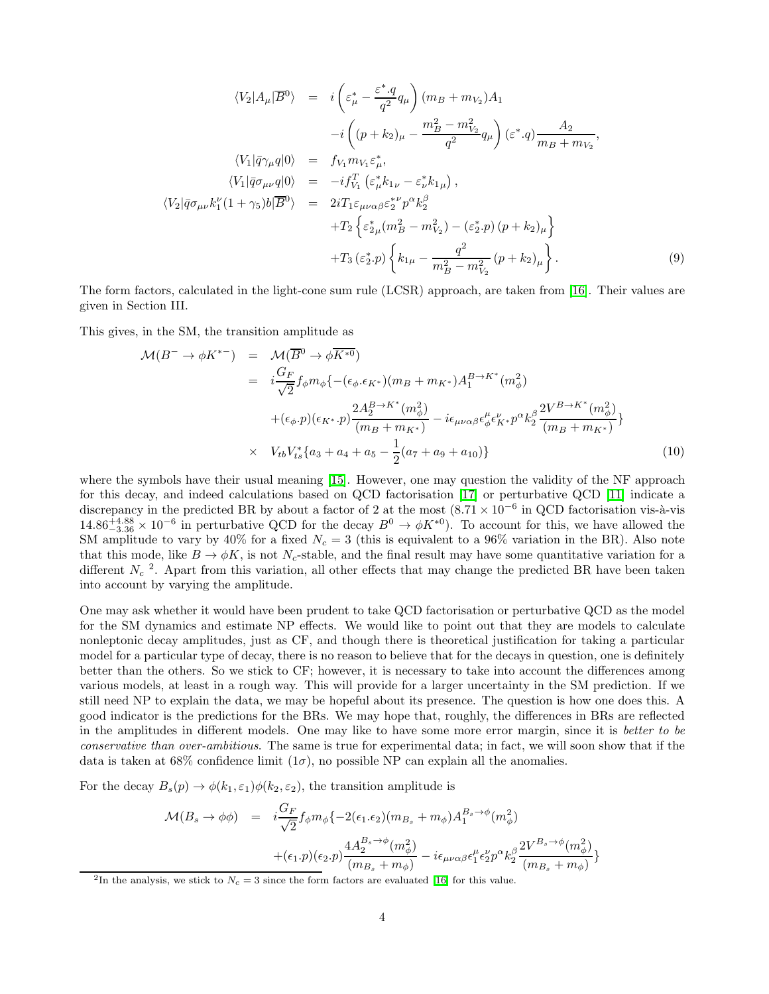$$
\langle V_2 | A_\mu | \overline{B}^0 \rangle = i \left( \varepsilon_\mu^* - \frac{\varepsilon^* \cdot q}{q^2} q_\mu \right) (m_B + m_{V_2}) A_1 \n- i \left( (p + k_2)_\mu - \frac{m_B^2 - m_{V_2}^2}{q^2} q_\mu \right) (\varepsilon^* \cdot q) \frac{A_2}{m_B + m_{V_2}},
$$
\n
$$
\langle V_1 | \bar{q} \gamma_\mu q | 0 \rangle = f_{V_1} m_{V_1} \varepsilon_\mu^*,
$$
\n
$$
\langle V_1 | \bar{q} \sigma_{\mu\nu} q | 0 \rangle = -i f_{V_1}^T (\varepsilon_\mu^* k_{1\nu} - \varepsilon_\nu^* k_{1\mu}),
$$
\n
$$
\langle V_2 | \bar{q} \sigma_{\mu\nu} k_1^{\nu} (1 + \gamma_5) b | \overline{B}^0 \rangle = 2i T_1 \varepsilon_{\mu\nu\alpha\beta} \varepsilon_2^{* \nu} p^\alpha k_2^{\beta} \n+ T_2 \left\{ \varepsilon_{2\mu}^* (m_B^2 - m_{V_2}^2) - (\varepsilon_2^* \cdot p) (p + k_2)_\mu \right\} \n+ T_3 (\varepsilon_2^* \cdot p) \left\{ k_{1\mu} - \frac{q^2}{m_B^2 - m_{V_2}^2} (p + k_2)_\mu \right\}.
$$
\n(9)

The form factors, calculated in the light-cone sum rule (LCSR) approach, are taken from [\[16\]](#page-12-9). Their values are given in Section III.

<span id="page-3-0"></span>This gives, in the SM, the transition amplitude as

$$
\mathcal{M}(B^{-} \to \phi K^{*-}) = \mathcal{M}(\overline{B}^{0} \to \phi \overline{K^{*0}})
$$
  
\n
$$
= i \frac{G_F}{\sqrt{2}} f_{\phi} m_{\phi} \{ -(\epsilon_{\phi} \cdot \epsilon_{K^{*}}) (m_B + m_{K^{*}}) A_1^{B \to K^{*}} (m_{\phi}^2) + (\epsilon_{\phi} \cdot p)(\epsilon_{K^{*}} \cdot p) \frac{2 A_2^{B \to K^{*}} (m_{\phi}^2)}{(m_B + m_{K^{*}})} - i \epsilon_{\mu \nu \alpha \beta} \epsilon_{\phi}^{\mu} \epsilon_{K^{*}}^{\nu} p^{\alpha} k_{2}^{\beta} \frac{2 V^{B \to K^{*}} (m_{\phi}^2)}{(m_B + m_{K^{*}})} \}
$$
  
\n
$$
\times V_{tb} V_{ts}^{*} \{ a_3 + a_4 + a_5 - \frac{1}{2} (a_7 + a_9 + a_{10}) \}
$$
 (10)

where the symbols have their usual meaning [\[15\]](#page-12-8). However, one may question the validity of the NF approach for this decay, and indeed calculations based on QCD factorisation [\[17\]](#page-12-10) or perturbative QCD [\[11\]](#page-12-4) indicate a discrepancy in the predicted BR by about a factor of 2 at the most  $(8.71 \times 10^{-6}$  in QCD factorisation vis-à-vis  $14.86^{+4.88}_{-3.36} \times 10^{-6}$  in perturbative QCD for the decay  $B^0 \to \phi K^{*0}$ ). To account for this, we have allowed the SM amplitude to vary by 40% for a fixed  $N_c = 3$  (this is equivalent to a 96% variation in the BR). Also note that this mode, like  $B \to \phi K$ , is not N<sub>c</sub>-stable, and the final result may have some quantitative variation for a different  $N_c$ <sup>2</sup>. Apart from this variation, all other effects that may change the predicted BR have been taken into account by varying the amplitude.

One may ask whether it would have been prudent to take QCD factorisation or perturbative QCD as the model for the SM dynamics and estimate NP effects. We would like to point out that they are models to calculate nonleptonic decay amplitudes, just as CF, and though there is theoretical justification for taking a particular model for a particular type of decay, there is no reason to believe that for the decays in question, one is definitely better than the others. So we stick to CF; however, it is necessary to take into account the differences among various models, at least in a rough way. This will provide for a larger uncertainty in the SM prediction. If we still need NP to explain the data, we may be hopeful about its presence. The question is how one does this. A good indicator is the predictions for the BRs. We may hope that, roughly, the differences in BRs are reflected in the amplitudes in different models. One may like to have some more error margin, since it is better to be conservative than over-ambitious. The same is true for experimental data; in fact, we will soon show that if the data is taken at 68% confidence limit  $(1\sigma)$ , no possible NP can explain all the anomalies.

<span id="page-3-1"></span>For the decay  $B_s(p) \to \phi(k_1, \varepsilon_1) \phi(k_2, \varepsilon_2)$ , the transition amplitude is

$$
\mathcal{M}(B_s \to \phi \phi) = i \frac{G_F}{\sqrt{2}} f_{\phi} m_{\phi} \{-2(\epsilon_1 \cdot \epsilon_2)(m_{B_s} + m_{\phi}) A_1^{B_s \to \phi}(m_{\phi}^2) + (\epsilon_1 \cdot p)(\epsilon_2 \cdot p) \frac{4 A_2^{B_s \to \phi}(m_{\phi}^2)}{(m_{B_s} + m_{\phi})} - i \epsilon_{\mu \nu \alpha \beta} \epsilon_1^{\mu} \epsilon_2^{\nu} p^{\alpha} k_2^{\beta} \frac{2 V^{B_s \to \phi}(m_{\phi}^2)}{(m_{B_s} + m_{\phi})} \}
$$

<sup>&</sup>lt;sup>2</sup>In the analysis, we stick to  $N_c = 3$  since the form factors are evaluated [\[16\]](#page-12-9) for this value.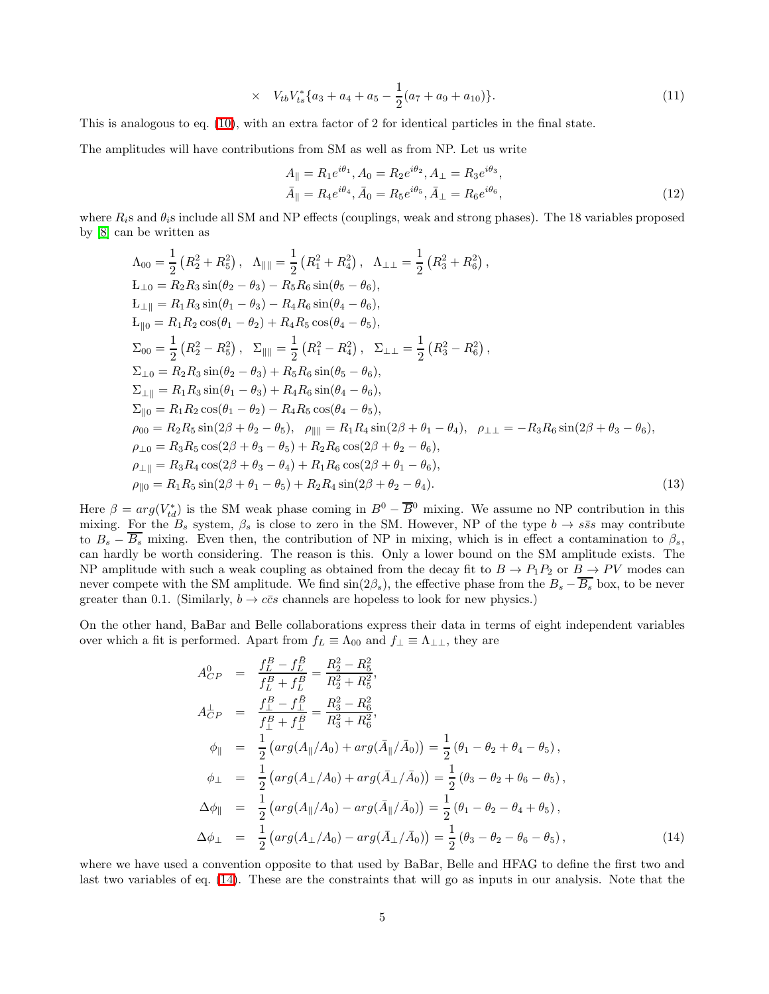$$
\times V_{tb}V_{ts}^*\{a_3 + a_4 + a_5 - \frac{1}{2}(a_7 + a_9 + a_{10})\}.
$$
\n(11)

This is analogous to eq. [\(10\)](#page-3-0), with an extra factor of 2 for identical particles in the final state.

The amplitudes will have contributions from SM as well as from NP. Let us write

$$
A_{\parallel} = R_1 e^{i\theta_1}, A_0 = R_2 e^{i\theta_2}, A_{\perp} = R_3 e^{i\theta_3},
$$
  
\n
$$
\bar{A}_{\parallel} = R_4 e^{i\theta_4}, \bar{A}_0 = R_5 e^{i\theta_5}, \bar{A}_{\perp} = R_6 e^{i\theta_6},
$$
\n(12)

where  $R_i$ s and  $\theta_i$ s include all SM and NP effects (couplings, weak and strong phases). The 18 variables proposed by [\[8\]](#page-12-1) can be written as

$$
\Lambda_{00} = \frac{1}{2} (R_2^2 + R_5^2), \quad \Lambda_{\parallel \parallel} = \frac{1}{2} (R_1^2 + R_4^2), \quad \Lambda_{\perp \perp} = \frac{1}{2} (R_3^2 + R_6^2),
$$
\n
$$
L_{\perp 0} = R_2 R_3 \sin(\theta_2 - \theta_3) - R_5 R_6 \sin(\theta_5 - \theta_6),
$$
\n
$$
L_{\parallel \parallel} = R_1 R_3 \sin(\theta_1 - \theta_3) - R_4 R_6 \sin(\theta_4 - \theta_6),
$$
\n
$$
L_{\parallel 0} = R_1 R_2 \cos(\theta_1 - \theta_2) + R_4 R_5 \cos(\theta_4 - \theta_5),
$$
\n
$$
\Sigma_{00} = \frac{1}{2} (R_2^2 - R_5^2), \quad \Sigma_{\parallel \parallel} = \frac{1}{2} (R_1^2 - R_4^2), \quad \Sigma_{\perp \perp} = \frac{1}{2} (R_3^2 - R_6^2),
$$
\n
$$
\Sigma_{\perp 0} = R_2 R_3 \sin(\theta_2 - \theta_3) + R_5 R_6 \sin(\theta_5 - \theta_6),
$$
\n
$$
\Sigma_{\perp \parallel} = R_1 R_3 \sin(\theta_1 - \theta_3) + R_4 R_6 \sin(\theta_4 - \theta_6),
$$
\n
$$
\Sigma_{\parallel 0} = R_1 R_2 \cos(\theta_1 - \theta_2) - R_4 R_5 \cos(\theta_4 - \theta_5),
$$
\n
$$
\rho_{00} = R_2 R_5 \sin(2\beta + \theta_2 - \theta_5), \quad \rho_{\parallel \parallel} = R_1 R_4 \sin(2\beta + \theta_1 - \theta_4), \quad \rho_{\perp \perp} = -R_3 R_6 \sin(2\beta + \theta_3 - \theta_6),
$$
\n
$$
\rho_{\perp 0} = R_3 R_5 \cos(2\beta + \theta_3 - \theta_4) + R_1 R_6 \cos(2\beta + \theta_2 - \theta_6),
$$
\n
$$
\rho_{\perp \parallel} = R_3 R_4 \cos(2\beta + \theta_3 - \theta_4) + R_1 R_6 \cos(2\beta + \theta_1
$$

Here  $\beta = arg(V_{td}^*)$  is the SM weak phase coming in  $B^0 - \overline{B}{}^0$  mixing. We assume no NP contribution in this mixing. For the  $B_s$  system,  $\beta_s$  is close to zero in the SM. However, NP of the type  $b \to s\bar{s}s$  may contribute to  $B_s - \overline{B_s}$  mixing. Even then, the contribution of NP in mixing, which is in effect a contamination to  $\beta_s$ , can hardly be worth considering. The reason is this. Only a lower bound on the SM amplitude exists. The NP amplitude with such a weak coupling as obtained from the decay fit to  $B \to P_1P_2$  or  $B \to PV$  modes can never compete with the SM amplitude. We find  $sin(2\beta_s)$ , the effective phase from the  $B_s - \overline{B_s}$  box, to be never greater than 0.1. (Similarly,  $b \to c\bar{c}s$  channels are hopeless to look for new physics.)

<span id="page-4-0"></span>On the other hand, BaBar and Belle collaborations express their data in terms of eight independent variables over which a fit is performed. Apart from  $f_L \equiv \Lambda_{00}$  and  $f_{\perp} \equiv \Lambda_{\perp\perp}$ , they are

$$
A_{CP}^{0} = \frac{f_L^B - f_L^{\bar{B}}}{f_L^B + f_L^{\bar{B}}} = \frac{R_2^2 - R_5^2}{R_2^2 + R_5^2},
$$
  
\n
$$
A_{CP}^{\perp} = \frac{f_L^B - f_L^{\bar{B}}}{f_L^B + f_L^{\bar{B}}} = \frac{R_3^2 - R_6^2}{R_3^2 + R_6^2},
$$
  
\n
$$
\phi_{\parallel} = \frac{1}{2} \left( \arg(A_{\parallel}/A_0) + \arg(\bar{A}_{\parallel}/\bar{A}_0) \right) = \frac{1}{2} (\theta_1 - \theta_2 + \theta_4 - \theta_5),
$$
  
\n
$$
\phi_{\perp} = \frac{1}{2} \left( \arg(A_{\perp}/A_0) + \arg(\bar{A}_{\perp}/\bar{A}_0) \right) = \frac{1}{2} (\theta_3 - \theta_2 + \theta_6 - \theta_5),
$$
  
\n
$$
\Delta \phi_{\parallel} = \frac{1}{2} \left( \arg(A_{\parallel}/A_0) - \arg(\bar{A}_{\parallel}/\bar{A}_0) \right) = \frac{1}{2} (\theta_1 - \theta_2 - \theta_4 + \theta_5),
$$
  
\n
$$
\Delta \phi_{\perp} = \frac{1}{2} \left( \arg(A_{\perp}/A_0) - \arg(\bar{A}_{\perp}/\bar{A}_0) \right) = \frac{1}{2} (\theta_3 - \theta_2 - \theta_6 - \theta_5),
$$
\n(14)

where we have used a convention opposite to that used by BaBar, Belle and HFAG to define the first two and last two variables of eq. [\(14\)](#page-4-0). These are the constraints that will go as inputs in our analysis. Note that the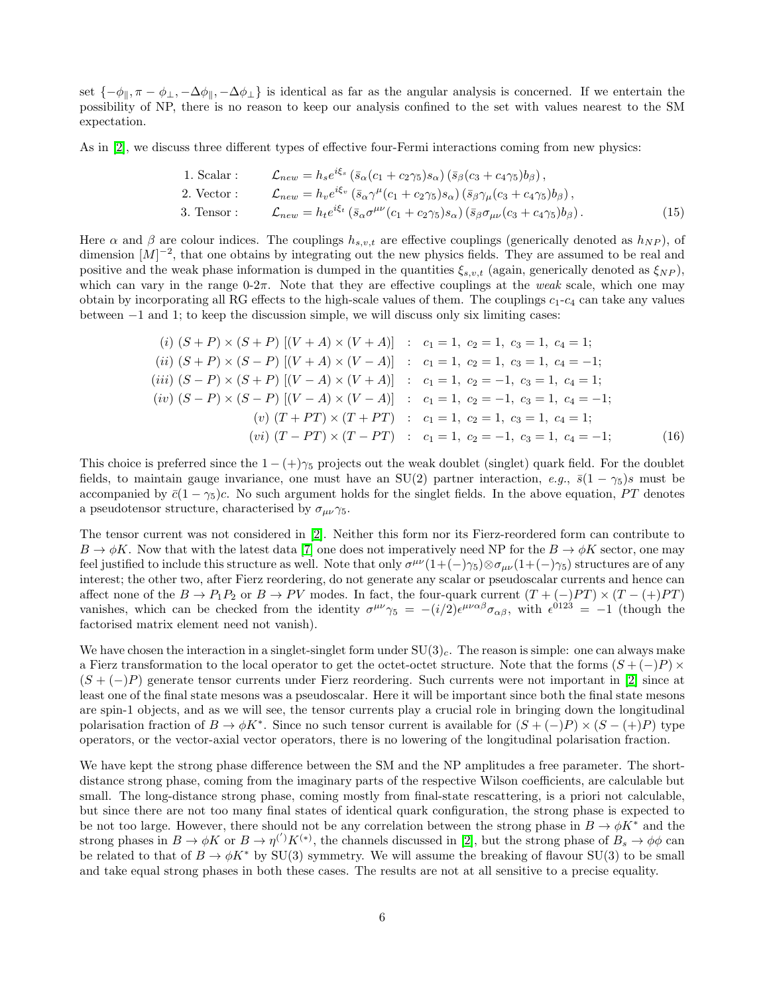set  $\{-\phi_{\parallel}, \pi - \phi_{\perp}, -\Delta\phi_{\parallel}, -\Delta\phi_{\perp}\}\$ is identical as far as the angular analysis is concerned. If we entertain the possibility of NP, there is no reason to keep our analysis confined to the set with values nearest to the SM expectation.

As in [\[2\]](#page-11-1), we discuss three different types of effective four-Fermi interactions coming from new physics:

1. Scalar : 
$$
\mathcal{L}_{new} = h_s e^{i\xi_s} \left( \bar{s}_{\alpha} (c_1 + c_2 \gamma_5) s_{\alpha} \right) \left( \bar{s}_{\beta} (c_3 + c_4 \gamma_5) b_{\beta} \right),
$$
  
\n2. Vector :  $\mathcal{L}_{new} = h_v e^{i\xi_v} \left( \bar{s}_{\alpha} \gamma^{\mu} (c_1 + c_2 \gamma_5) s_{\alpha} \right) \left( \bar{s}_{\beta} \gamma_{\mu} (c_3 + c_4 \gamma_5) b_{\beta} \right),$   
\n3. Tensor :  $\mathcal{L}_{new} = h_t e^{i\xi_t} \left( \bar{s}_{\alpha} \sigma^{\mu \nu} (c_1 + c_2 \gamma_5) s_{\alpha} \right) \left( \bar{s}_{\beta} \sigma_{\mu \nu} (c_3 + c_4 \gamma_5) b_{\beta} \right).$  (15)

Here  $\alpha$  and  $\beta$  are colour indices. The couplings  $h_{s,v,t}$  are effective couplings (generically denoted as  $h_{NP}$ ), of dimension  $[M]^{-2}$ , that one obtains by integrating out the new physics fields. They are assumed to be real and positive and the weak phase information is dumped in the quantities  $\xi_{s,v,t}$  (again, generically denoted as  $\xi_{NP}$ ), which can vary in the range  $0-2\pi$ . Note that they are effective couplings at the weak scale, which one may obtain by incorporating all RG effects to the high-scale values of them. The couplings  $c_1$ - $c_4$  can take any values between −1 and 1; to keep the discussion simple, we will discuss only six limiting cases:

$$
(i) (S + P) \times (S + P) [(V + A) \times (V + A)] : c_1 = 1, c_2 = 1, c_3 = 1, c_4 = 1;
$$
  
\n
$$
(ii) (S + P) \times (S - P) [(V + A) \times (V - A)] : c_1 = 1, c_2 = 1, c_3 = 1, c_4 = -1;
$$
  
\n
$$
(iii) (S - P) \times (S + P) [(V - A) \times (V + A)] : c_1 = 1, c_2 = -1, c_3 = 1, c_4 = 1;
$$
  
\n
$$
(iv) (S - P) \times (S - P) [(V - A) \times (V - A)] : c_1 = 1, c_2 = -1, c_3 = 1, c_4 = -1;
$$
  
\n
$$
(v) (T + PT) \times (T + PT) : c_1 = 1, c_2 = 1, c_3 = 1, c_4 = 1;
$$
  
\n
$$
(vi) (T - PT) \times (T - PT) : c_1 = 1, c_2 = -1, c_3 = 1, c_4 = -1;
$$
  
\n(16)

This choice is preferred since the  $1 - (+)\gamma_5$  projects out the weak doublet (singlet) quark field. For the doublet fields, to maintain gauge invariance, one must have an SU(2) partner interaction, e.g.,  $\bar{s}(1 - \gamma_5)s$  must be accompanied by  $\bar{c}(1-\gamma_5)c$ . No such argument holds for the singlet fields. In the above equation, PT denotes a pseudotensor structure, characterised by  $\sigma_{\mu\nu}\gamma_5$ .

The tensor current was not considered in [\[2\]](#page-11-1). Neither this form nor its Fierz-reordered form can contribute to  $B \to \phi K$ . Now that with the latest data [\[7\]](#page-12-0) one does not imperatively need NP for the  $B \to \phi K$  sector, one may feel justified to include this structure as well. Note that only  $\sigma^{\mu\nu}(1+(-)\gamma_5)\otimes\sigma_{\mu\nu}(1+(-)\gamma_5)$  structures are of any interest; the other two, after Fierz reordering, do not generate any scalar or pseudoscalar currents and hence can affect none of the  $B \to P_1P_2$  or  $B \to PV$  modes. In fact, the four-quark current  $(T + (-)PT) \times (T - (+)PT)$ vanishes, which can be checked from the identity  $\sigma^{\mu\nu}\gamma_5 = -(i/2)\epsilon^{\mu\nu\alpha\beta}\sigma_{\alpha\beta}$ , with  $\epsilon^{0123} = -1$  (though the factorised matrix element need not vanish).

We have chosen the interaction in a singlet-singlet form under  $SU(3)_c$ . The reason is simple: one can always make a Fierz transformation to the local operator to get the octet-octet structure. Note that the forms  $(S + (-)P) \times$  $(S + (-)P)$  generate tensor currents under Fierz reordering. Such currents were not important in [\[2\]](#page-11-1) since at least one of the final state mesons was a pseudoscalar. Here it will be important since both the final state mesons are spin-1 objects, and as we will see, the tensor currents play a crucial role in bringing down the longitudinal polarisation fraction of  $B \to \phi K^*$ . Since no such tensor current is available for  $(S + (-)P) \times (S - (+)P)$  type operators, or the vector-axial vector operators, there is no lowering of the longitudinal polarisation fraction.

We have kept the strong phase difference between the SM and the NP amplitudes a free parameter. The shortdistance strong phase, coming from the imaginary parts of the respective Wilson coefficients, are calculable but small. The long-distance strong phase, coming mostly from final-state rescattering, is a priori not calculable, but since there are not too many final states of identical quark configuration, the strong phase is expected to be not too large. However, there should not be any correlation between the strong phase in  $B \to \phi K^*$  and the strong phases in  $B \to \phi K$  or  $B \to \eta^{(')} K^{(*)}$ , the channels discussed in [\[2\]](#page-11-1), but the strong phase of  $B_s \to \phi \phi$  can be related to that of  $B \to \phi K^*$  by SU(3) symmetry. We will assume the breaking of flavour SU(3) to be small and take equal strong phases in both these cases. The results are not at all sensitive to a precise equality.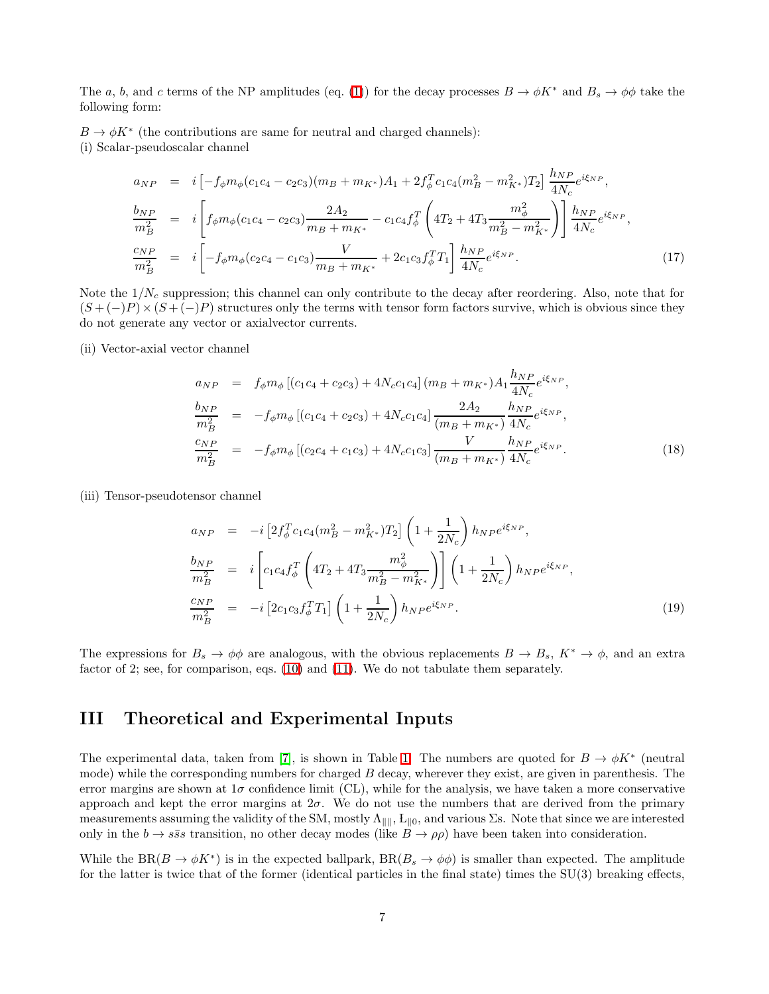The a, b, and c terms of the NP amplitudes (eq. [\(1\)](#page-2-1)) for the decay processes  $B \to \phi K^*$  and  $B_s \to \phi \phi$  take the following form:

 $B \to \phi K^*$  (the contributions are same for neutral and charged channels): (i) Scalar-pseudoscalar channel

$$
a_{NP} = i \left[ -f_{\phi} m_{\phi} (c_1 c_4 - c_2 c_3) (m_B + m_{K^*}) A_1 + 2 f_{\phi}^T c_1 c_4 (m_B^2 - m_{K^*}^2) T_2 \right] \frac{h_{NP}}{4N_c} e^{i\xi_{NP}},
$$
  
\n
$$
\frac{b_{NP}}{m_B^2} = i \left[ f_{\phi} m_{\phi} (c_1 c_4 - c_2 c_3) \frac{2A_2}{m_B + m_{K^*}} - c_1 c_4 f_{\phi}^T \left( 4T_2 + 4T_3 \frac{m_{\phi}^2}{m_B^2 - m_{K^*}^2} \right) \right] \frac{h_{NP}}{4N_c} e^{i\xi_{NP}},
$$
  
\n
$$
\frac{c_{NP}}{m_B^2} = i \left[ -f_{\phi} m_{\phi} (c_2 c_4 - c_1 c_3) \frac{V}{m_B + m_{K^*}} + 2c_1 c_3 f_{\phi}^T T_1 \right] \frac{h_{NP}}{4N_c} e^{i\xi_{NP}}.
$$
\n(17)

Note the  $1/N_c$  suppression; this channel can only contribute to the decay after reordering. Also, note that for  $(S + (-)P) \times (S + (-)P)$  structures only the terms with tensor form factors survive, which is obvious since they do not generate any vector or axialvector currents.

(ii) Vector-axial vector channel

$$
a_{NP} = f_{\phi} m_{\phi} \left[ (c_1 c_4 + c_2 c_3) + 4N_c c_1 c_4 \right] (m_B + m_{K^*}) A_1 \frac{h_{NP}}{4N_c} e^{i\xi_{NP}},
$$
  
\n
$$
\frac{b_{NP}}{m_B^2} = -f_{\phi} m_{\phi} \left[ (c_1 c_4 + c_2 c_3) + 4N_c c_1 c_4 \right] \frac{2A_2}{(m_B + m_{K^*})} \frac{h_{NP}}{4N_c} e^{i\xi_{NP}},
$$
  
\n
$$
\frac{c_{NP}}{m_B^2} = -f_{\phi} m_{\phi} \left[ (c_2 c_4 + c_1 c_3) + 4N_c c_1 c_3 \right] \frac{V}{(m_B + m_{K^*})} \frac{h_{NP}}{4N_c} e^{i\xi_{NP}}.
$$
\n(18)

(iii) Tensor-pseudotensor channel

$$
a_{NP} = -i \left[ 2f_{\phi}^{T} c_{1} c_{4} (m_{B}^{2} - m_{K^{*}}^{2}) T_{2} \right] \left( 1 + \frac{1}{2N_{c}} \right) h_{NP} e^{i\xi_{NP}},
$$
\n
$$
\frac{b_{NP}}{m_{B}^{2}} = i \left[ c_{1} c_{4} f_{\phi}^{T} \left( 4T_{2} + 4T_{3} \frac{m_{\phi}^{2}}{m_{B}^{2} - m_{K^{*}}^{2}} \right) \right] \left( 1 + \frac{1}{2N_{c}} \right) h_{NP} e^{i\xi_{NP}},
$$
\n
$$
\frac{c_{NP}}{m_{B}^{2}} = -i \left[ 2c_{1} c_{3} f_{\phi}^{T} T_{1} \right] \left( 1 + \frac{1}{2N_{c}} \right) h_{NP} e^{i\xi_{NP}}.
$$
\n(19)

The expressions for  $B_s \to \phi\phi$  are analogous, with the obvious replacements  $B \to B_s$ ,  $K^* \to \phi$ , and an extra factor of 2; see, for comparison, eqs. [\(10\)](#page-3-0) and [\(11\)](#page-3-1). We do not tabulate them separately.

#### III Theoretical and Experimental Inputs

The experimental data, taken from [\[7\]](#page-12-0), is shown in Table [1.](#page-7-0) The numbers are quoted for  $B \to \phi K^*$  (neutral mode) while the corresponding numbers for charged B decay, wherever they exist, are given in parenthesis. The error margins are shown at  $1\sigma$  confidence limit (CL), while for the analysis, we have taken a more conservative approach and kept the error margins at  $2\sigma$ . We do not use the numbers that are derived from the primary measurements assuming the validity of the SM, mostly  $\Lambda_{\|\|}$ ,  $L_{\|\|}$ , and various  $\Sigma$ s. Note that since we are interested only in the  $b \to s\bar{s}s$  transition, no other decay modes (like  $B \to \rho\rho$ ) have been taken into consideration.

While the BR( $B \to \phi K^*$ ) is in the expected ballpark, BR( $B_s \to \phi \phi$ ) is smaller than expected. The amplitude for the latter is twice that of the former (identical particles in the final state) times the SU(3) breaking effects,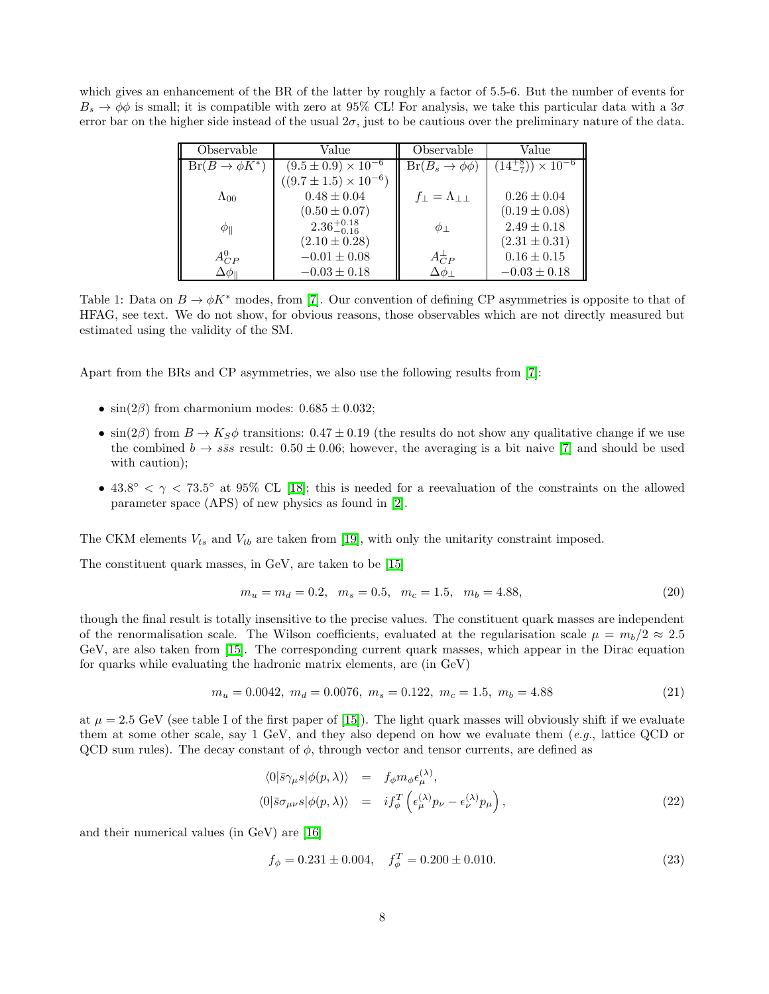which gives an enhancement of the BR of the latter by roughly a factor of 5.5-6. But the number of events for  $B_s \to \phi \phi$  is small; it is compatible with zero at 95% CL! For analysis, we take this particular data with a 3 $\sigma$ error bar on the higher side instead of the usual  $2\sigma$ , just to be cautious over the preliminary nature of the data.

| Observable            | Value                            | Observable                         | Value                             |
|-----------------------|----------------------------------|------------------------------------|-----------------------------------|
| $Br(B\to\phi K^*)$    | $(9.5 \pm 0.9) \times 10^{-6}$   | $Br(B_s \to \phi\phi)$             | $(14\frac{+8}{7}) \times 10^{-6}$ |
|                       | $((9.7 \pm 1.5) \times 10^{-6})$ |                                    |                                   |
| $\Lambda_{00}$        | $0.48 \pm 0.04$                  | $f_{\perp} = \Lambda_{\perp\perp}$ | $0.26 \pm 0.04$                   |
|                       | $(0.50 \pm 0.07)$                |                                    | $(0.19 \pm 0.08)$                 |
| $\varphi_{\parallel}$ | $2.36^{+0.18}_{-0.16}$           | $\phi_{\perp}$                     | $2.49 \pm 0.18$                   |
|                       | $(2.10 \pm 0.28)$                |                                    | $(2.31 \pm 0.31)$                 |
| $A_{CP}^0$            | $-0.01 \pm 0.08$                 | $A_{CP}^{\perp}$                   | $0.16 \pm 0.15$                   |
| $\Delta\phi_{\rm I}$  | $-0.03 \pm 0.18$                 | $\Delta\phi_\perp$                 | $-0.03 \pm 0.18$                  |

<span id="page-7-0"></span>Table 1: Data on  $B \to \phi K^*$  modes, from [\[7\]](#page-12-0). Our convention of defining CP asymmetries is opposite to that of HFAG, see text. We do not show, for obvious reasons, those observables which are not directly measured but estimated using the validity of the SM.

Apart from the BRs and CP asymmetries, we also use the following results from [\[7\]](#page-12-0):

- $\sin(2\beta)$  from charmonium modes:  $0.685 \pm 0.032$ ;
- $\sin(2\beta)$  from  $B \to K_S \phi$  transitions:  $0.47 \pm 0.19$  (the results do not show any qualitative change if we use the combined  $b \to s\bar{s}s$  result:  $0.50 \pm 0.06$ ; however, the averaging is a bit naive [\[7\]](#page-12-0) and should be used with caution);
- $43.8^{\circ} < \gamma < 73.5^{\circ}$  at 95% CL [\[18\]](#page-12-11); this is needed for a reevaluation of the constraints on the allowed parameter space (APS) of new physics as found in [\[2\]](#page-11-1).

The CKM elements  $V_{ts}$  and  $V_{tb}$  are taken from [\[19\]](#page-12-12), with only the unitarity constraint imposed.

The constituent quark masses, in GeV, are taken to be [\[15\]](#page-12-8)

$$
m_u = m_d = 0.2, \quad m_s = 0.5, \quad m_c = 1.5, \quad m_b = 4.88,\tag{20}
$$

though the final result is totally insensitive to the precise values. The constituent quark masses are independent of the renormalisation scale. The Wilson coefficients, evaluated at the regularisation scale  $\mu = m_b/2 \approx 2.5$ GeV, are also taken from [\[15\]](#page-12-8). The corresponding current quark masses, which appear in the Dirac equation for quarks while evaluating the hadronic matrix elements, are (in GeV)

$$
m_u = 0.0042, \ m_d = 0.0076, \ m_s = 0.122, \ m_c = 1.5, \ m_b = 4.88 \tag{21}
$$

at  $\mu = 2.5$  GeV (see table I of the first paper of [\[15\]](#page-12-8)). The light quark masses will obviously shift if we evaluate them at some other scale, say 1 GeV, and they also depend on how we evaluate them  $(e.g.,)$  lattice QCD or QCD sum rules). The decay constant of  $\phi$ , through vector and tensor currents, are defined as

$$
\langle 0|\bar{s}\gamma_{\mu}s|\phi(p,\lambda)\rangle = f_{\phi}m_{\phi}\epsilon_{\mu}^{(\lambda)},
$$
  

$$
\langle 0|\bar{s}\sigma_{\mu\nu}s|\phi(p,\lambda)\rangle = i f_{\phi}^{T} \left(\epsilon_{\mu}^{(\lambda)}p_{\nu} - \epsilon_{\nu}^{(\lambda)}p_{\mu}\right),
$$
 (22)

and their numerical values (in GeV) are [\[16\]](#page-12-9)

$$
f_{\phi} = 0.231 \pm 0.004, \quad f_{\phi}^{T} = 0.200 \pm 0.010. \tag{23}
$$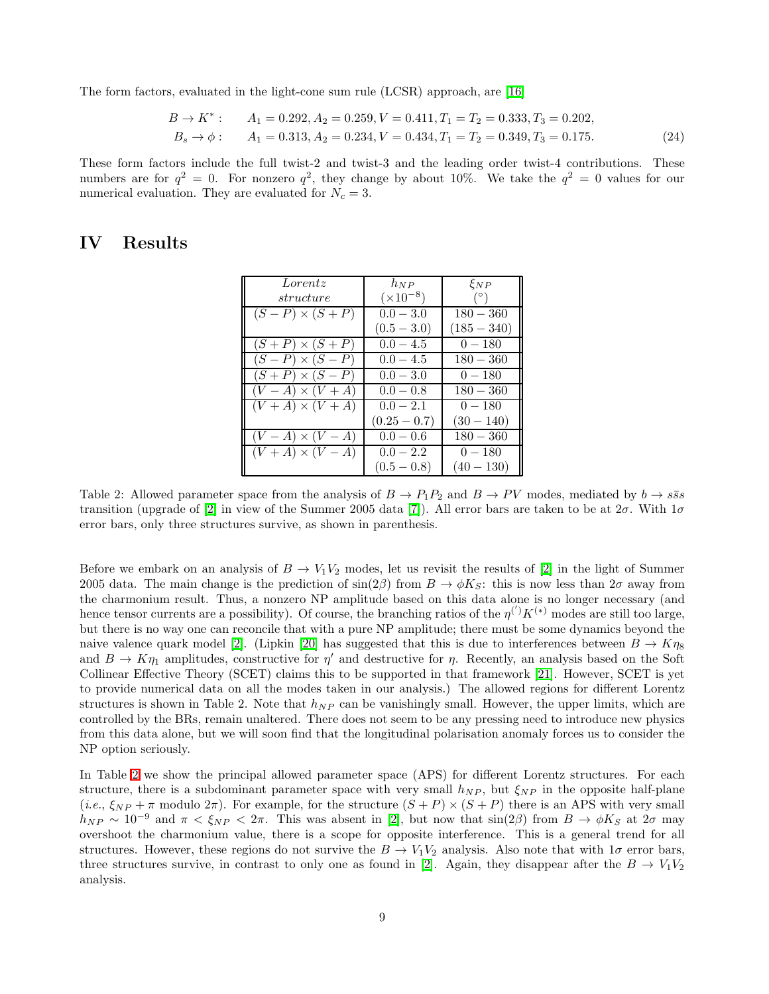The form factors, evaluated in the light-cone sum rule (LCSR) approach, are [\[16\]](#page-12-9)

$$
B \to K^* : \qquad A_1 = 0.292, A_2 = 0.259, V = 0.411, T_1 = T_2 = 0.333, T_3 = 0.202, B_s \to \phi: \qquad A_1 = 0.313, A_2 = 0.234, V = 0.434, T_1 = T_2 = 0.349, T_3 = 0.175.
$$
 (24)

These form factors include the full twist-2 and twist-3 and the leading order twist-4 contributions. These numbers are for  $q^2 = 0$ . For nonzero  $q^2$ , they change by about 10%. We take the  $q^2 = 0$  values for our numerical evaluation. They are evaluated for  $N_c = 3$ .

### IV Results

| Lorentz                  | $h_{NP}$           | $\xi_{NP}$    |
|--------------------------|--------------------|---------------|
| structure                | $(\times 10^{-8})$ | $(^\circ)$    |
| $(S - P) \times (S + P)$ | $0.0 - 3.0$        | $180 - 360$   |
|                          | $(0.5 - 3.0)$      | $(185 - 340)$ |
| $(S+P) \times (S+P)$     | $0.0 - 4.5$        | $0 - 180$     |
| $(S - P) \times (S - P)$ | $0.0 - 4.5$        | $180 - 360$   |
| $(S+P) \times (S-P)$     | $0.0 - 3.0$        | $0 - 180$     |
| $(V-A)\times (V+A)$      | $0.0 - 0.8$        | $180 - 360$   |
| $(V+A)\times (V+A)$      | $0.0 - 2.1$        | $0 - 180$     |
|                          | $(0.25-0.7)$       | $(30 - 140)$  |
| $(V-A) \times (V-A)$     | $0.0 - 0.6$        | $180 - 360$   |
| $(V+A)\times (V-A)$      | $0.0 - 2.2$        | $0 - 180$     |
|                          | $(0.5 - 0.8)$      | $(40 - 130)$  |

<span id="page-8-0"></span>Table 2: Allowed parameter space from the analysis of  $B \to P_1P_2$  and  $B \to PV$  modes, mediated by  $b \to s\bar{s}s$ transition (upgrade of [\[2\]](#page-11-1) in view of the Summer 2005 data [\[7\]](#page-12-0)). All error bars are taken to be at  $2\sigma$ . With  $1\sigma$ error bars, only three structures survive, as shown in parenthesis.

Before we embark on an analysis of  $B \to V_1V_2$  modes, let us revisit the results of [\[2\]](#page-11-1) in the light of Summer 2005 data. The main change is the prediction of  $\sin(2\beta)$  from  $B \to \phi K_S$ : this is now less than  $2\sigma$  away from the charmonium result. Thus, a nonzero NP amplitude based on this data alone is no longer necessary (and hence tensor currents are a possibility). Of course, the branching ratios of the  $\eta^{(')}K^{(*)}$  modes are still too large, but there is no way one can reconcile that with a pure NP amplitude; there must be some dynamics beyond the naive valence quark model [\[2\]](#page-11-1). (Lipkin [\[20\]](#page-12-13) has suggested that this is due to interferences between  $B \to K \eta_8$ and  $B \to K \eta_1$  amplitudes, constructive for  $\eta'$  and destructive for  $\eta$ . Recently, an analysis based on the Soft Collinear Effective Theory (SCET) claims this to be supported in that framework [\[21\]](#page-12-14). However, SCET is yet to provide numerical data on all the modes taken in our analysis.) The allowed regions for different Lorentz structures is shown in Table 2. Note that  $h_{NP}$  can be vanishingly small. However, the upper limits, which are controlled by the BRs, remain unaltered. There does not seem to be any pressing need to introduce new physics from this data alone, but we will soon find that the longitudinal polarisation anomaly forces us to consider the NP option seriously.

In Table [2](#page-8-0) we show the principal allowed parameter space (APS) for different Lorentz structures. For each structure, there is a subdominant parameter space with very small  $h_{NP}$ , but  $\xi_{NP}$  in the opposite half-plane  $(i.e., \xi_{NP} + \pi \text{ modulo } 2\pi)$ . For example, for the structure  $(S + P) \times (S + P)$  there is an APS with very small  $h_{NP} \sim 10^{-9}$  and  $\pi < \xi_{NP} < 2\pi$ . This was absent in [\[2\]](#page-11-1), but now that  $\sin(2\beta)$  from  $B \to \phi K_S$  at  $2\sigma$  may overshoot the charmonium value, there is a scope for opposite interference. This is a general trend for all structures. However, these regions do not survive the  $B \to V_1V_2$  analysis. Also note that with  $1\sigma$  error bars, three structures survive, in contrast to only one as found in [\[2\]](#page-11-1). Again, they disappear after the  $B \to V_1V_2$ analysis.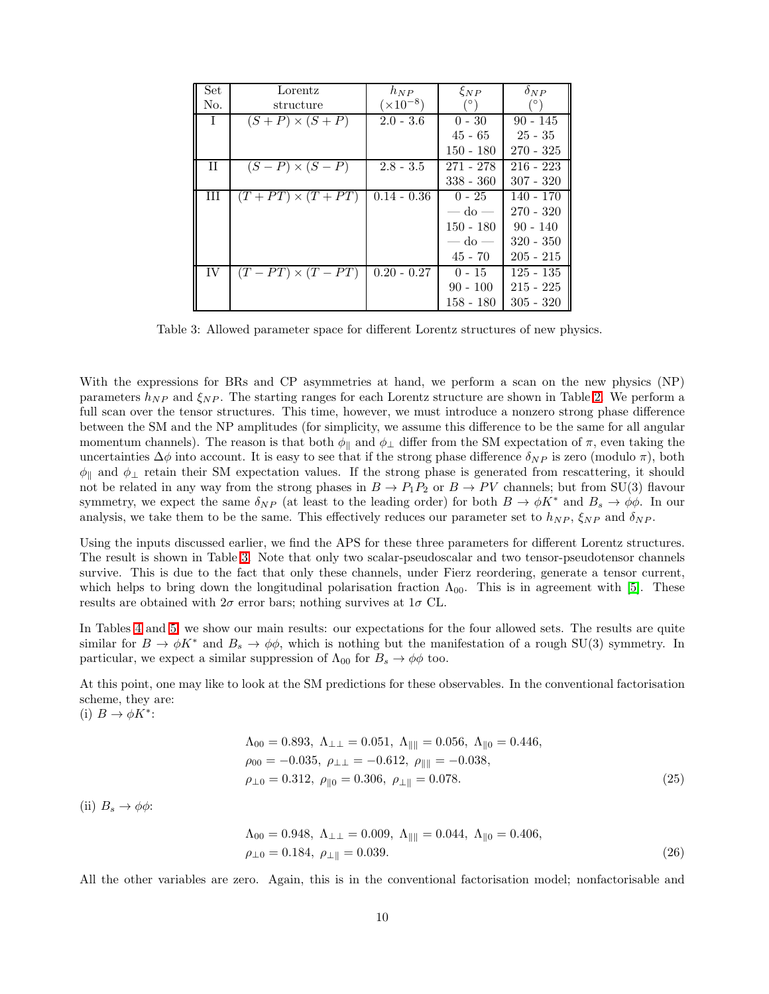| Set          | Lorentz                  | $h_{NP}$           | $\xi_{NP}$     | $\delta_{NP}$ |
|--------------|--------------------------|--------------------|----------------|---------------|
| No.          | structure                | $(\times 10^{-8})$ |                |               |
| $\mathbf{I}$ | $(S+P) \times (S+P)$     | $2.0 - 3.6$        | $0 - 30$       | $90 - 145$    |
|              |                          |                    | $45 - 65$      | $25 - 35$     |
|              |                          |                    | $150 - 180$    | $270 - 325$   |
| $_{\rm II}$  | $(S - P) \times (S - P)$ | $2.8 - 3.5$        | 271 - 278      | $216 - 223$   |
|              |                          |                    | $338 - 360$    | $307 - 320$   |
| Ш            | $(T+PT) \times (T+PT)$   | $0.14 - 0.36$      | $0 - 25$       | $140 - 170$   |
|              |                          |                    | — do —         | $270 - 320$   |
|              |                          |                    | $150 - 180$    | $90 - 140$    |
|              |                          |                    | $-\mathrm{do}$ | $320 - 350$   |
|              |                          |                    | $45 - 70$      | $205 - 215$   |
| IV           | $(T-PT) \times (T-PT)$   | $0.20 - 0.27$      | $0 - 15$       | $125 - 135$   |
|              |                          |                    | $90 - 100$     | $215 - 225$   |
|              |                          |                    | $158 - 180$    | $305 - 320$   |

<span id="page-9-0"></span>Table 3: Allowed parameter space for different Lorentz structures of new physics.

With the expressions for BRs and CP asymmetries at hand, we perform a scan on the new physics (NP) parameters  $h_{NP}$  and  $\xi_{NP}$ . The starting ranges for each Lorentz structure are shown in Table [2.](#page-8-0) We perform a full scan over the tensor structures. This time, however, we must introduce a nonzero strong phase difference between the SM and the NP amplitudes (for simplicity, we assume this difference to be the same for all angular momentum channels). The reason is that both  $\phi_{\parallel}$  and  $\phi_{\perp}$  differ from the SM expectation of  $\pi$ , even taking the uncertainties  $\Delta\phi$  into account. It is easy to see that if the strong phase difference  $\delta_{NP}$  is zero (modulo  $\pi$ ), both  $\phi_{\parallel}$  and  $\phi_{\perp}$  retain their SM expectation values. If the strong phase is generated from rescattering, it should not be related in any way from the strong phases in  $B \to P_1P_2$  or  $B \to PV$  channels; but from SU(3) flavour symmetry, we expect the same  $\delta_{NP}$  (at least to the leading order) for both  $B \to \phi K^*$  and  $B_s \to \phi \phi$ . In our analysis, we take them to be the same. This effectively reduces our parameter set to  $h_{NP}$ ,  $\xi_{NP}$  and  $\delta_{NP}$ .

Using the inputs discussed earlier, we find the APS for these three parameters for different Lorentz structures. The result is shown in Table [3.](#page-9-0) Note that only two scalar-pseudoscalar and two tensor-pseudotensor channels survive. This is due to the fact that only these channels, under Fierz reordering, generate a tensor current, which helps to bring down the longitudinal polarisation fraction  $\Lambda_{00}$ . This is in agreement with [\[5\]](#page-11-4). These results are obtained with  $2\sigma$  error bars; nothing survives at  $1\sigma$  CL.

In Tables [4](#page-10-0) and [5,](#page-10-1) we show our main results: our expectations for the four allowed sets. The results are quite similar for  $B \to \phi K^*$  and  $B_s \to \phi \phi$ , which is nothing but the manifestation of a rough SU(3) symmetry. In particular, we expect a similar suppression of  $\Lambda_{00}$  for  $B_s \to \phi \phi$  too.

At this point, one may like to look at the SM predictions for these observables. In the conventional factorisation scheme, they are:

(i)  $B \to \phi K^*$ :

$$
\Lambda_{00} = 0.893, \ \Lambda_{\perp\perp} = 0.051, \ \Lambda_{\parallel\parallel} = 0.056, \ \Lambda_{\parallel 0} = 0.446, \n\rho_{00} = -0.035, \ \rho_{\perp\perp} = -0.612, \ \rho_{\parallel\parallel} = -0.038, \n\rho_{\perp 0} = 0.312, \ \rho_{\parallel 0} = 0.306, \ \rho_{\perp\parallel} = 0.078.
$$
\n(25)

(ii)  $B_s \to \phi \phi$ :

$$
\Lambda_{00} = 0.948, \ \Lambda_{\perp\perp} = 0.009, \ \Lambda_{\parallel\parallel} = 0.044, \ \Lambda_{\parallel 0} = 0.406, \n\rho_{\perp 0} = 0.184, \ \rho_{\perp\parallel} = 0.039.
$$
\n(26)

All the other variables are zero. Again, this is in the conventional factorisation model; nonfactorisable and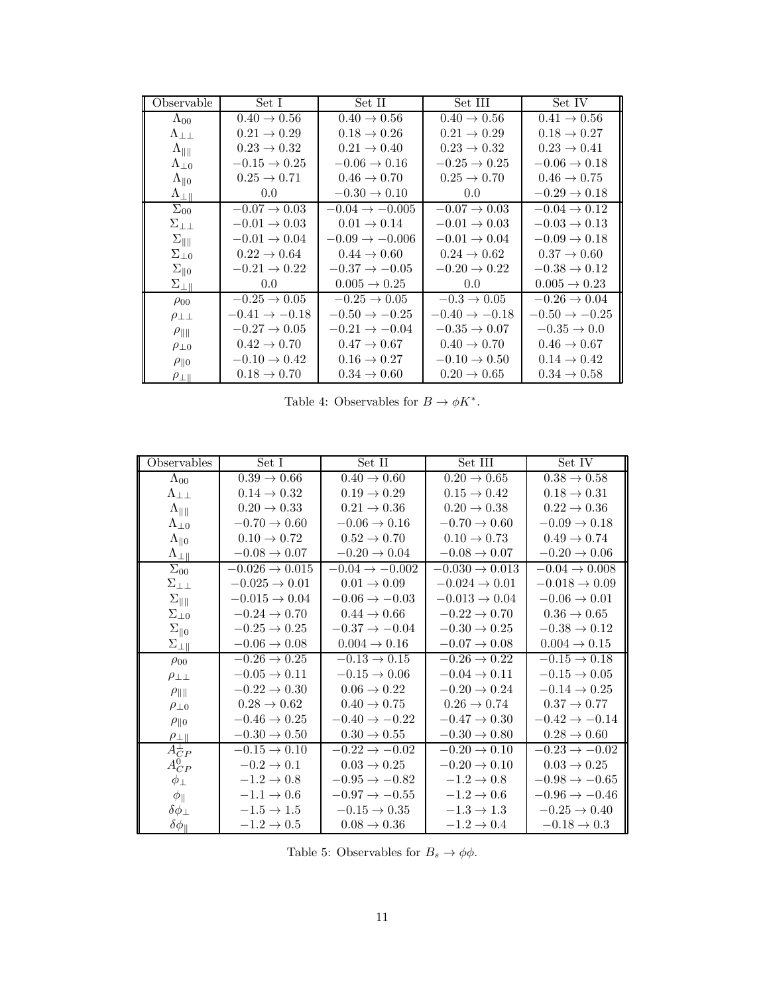| Observable                     | Set I                     | Set II                     | Set III                   | Set IV                    |
|--------------------------------|---------------------------|----------------------------|---------------------------|---------------------------|
| $\Lambda_{00}$                 | $0.40 \rightarrow 0.56$   | $0.40 \to 0.56$            | $0.40 \rightarrow 0.56$   | $0.41 \rightarrow 0.56$   |
| $\Lambda_{\perp\perp}$         | $0.21 \rightarrow 0.29$   | $0.18 \rightarrow 0.26$    | $0.21 \rightarrow 0.29$   | $0.18 \rightarrow 0.27$   |
| $\Lambda_{\parallel\parallel}$ | $0.23 \rightarrow 0.32$   | $0.21 \rightarrow 0.40$    | $0.23 \rightarrow 0.32$   | $0.23 \rightarrow 0.41$   |
| $\Lambda_{\perp 0}$            | $-0.15 \rightarrow 0.25$  | $-0.06 \rightarrow 0.16$   | $-0.25 \rightarrow 0.25$  | $-0.06 \rightarrow 0.18$  |
| $\Lambda_{\parallel 0}$        | $0.25 \rightarrow 0.71$   | $0.46 \rightarrow 0.70$    | $0.25 \to 0.70$           | $0.46 \to 0.75$           |
| $\Lambda_{\perp\parallel}$     | 0.0                       | $-0.30 \rightarrow 0.10$   | 0.0                       | $-0.29 \rightarrow 0.18$  |
| $\Sigma_{00}$                  | $-0.07 \rightarrow 0.03$  | $-0.04 \rightarrow -0.005$ | $-0.07 \rightarrow 0.03$  | $-0.04 \rightarrow 0.12$  |
| $\Sigma_{\perp\perp}$          | $-0.01 \rightarrow 0.03$  | $0.01 \rightarrow 0.14$    | $-0.01 \rightarrow 0.03$  | $-0.03 \rightarrow 0.13$  |
| $\Sigma_{\parallel\parallel}$  | $-0.01 \rightarrow 0.04$  | $-0.09 \rightarrow -0.006$ | $-0.01 \rightarrow 0.04$  | $-0.09 \rightarrow 0.18$  |
| $\Sigma_{\perp 0}$             | $0.22 \rightarrow 0.64$   | $0.44 \rightarrow 0.60$    | $0.24 \rightarrow 0.62$   | $0.37 \rightarrow 0.60$   |
| $\Sigma_{\parallel 0}$         | $-0.21 \rightarrow 0.22$  | $-0.37 \rightarrow -0.05$  | $-0.20 \rightarrow 0.22$  | $-0.38 \rightarrow 0.12$  |
| $\Sigma_{\perp \parallel}$     | 0.0                       | $0.005 \to 0.25$           | 0.0                       | $0.005 \to 0.23$          |
| $\rho_{00}$                    | $-0.25 \rightarrow 0.05$  | $-0.25 \rightarrow 0.05$   | $-0.3 \rightarrow 0.05$   | $-0.26 \rightarrow 0.04$  |
| $\rho_{\perp\perp}$            | $-0.41 \rightarrow -0.18$ | $-0.50 \rightarrow -0.25$  | $-0.40 \rightarrow -0.18$ | $-0.50 \rightarrow -0.25$ |
| $\rho_{\parallel\parallel}$    | $-0.27 \to 0.05$          | $-0.21 \rightarrow -0.04$  | $-0.35 \to 0.07$          | $-0.35 \to 0.0$           |
| $\rho_{\perp 0}$               | $0.42 \rightarrow 0.70$   | $0.47 \rightarrow 0.67$    | $0.40 \rightarrow 0.70$   | $0.46 \rightarrow 0.67$   |
| $\rho_{\parallel 0}$           | $-0.10 \rightarrow 0.42$  | $0.16 \rightarrow 0.27$    | $-0.10 \rightarrow 0.50$  | $0.14 \rightarrow 0.42$   |
| $\rho_{\perp\parallel}$        | $0.18 \rightarrow 0.70$   | $0.34 \rightarrow 0.60$    | $0.20 \rightarrow 0.65$   | $0.34 \rightarrow 0.58$   |

<span id="page-10-0"></span>Table 4: Observables for  $B \to \phi K^*$ .

| Observables                    | Set I                      | Set II                     | Set III                    | Set IV                    |
|--------------------------------|----------------------------|----------------------------|----------------------------|---------------------------|
| $\Lambda_{00}$                 | $0.39 \rightarrow 0.66$    | $0.40 \rightarrow 0.60$    | $0.20 \rightarrow 0.65$    | $0.38 \to 0.58$           |
| $\Lambda_{\perp\perp}$         | $0.14 \rightarrow 0.32$    | $0.19 \rightarrow 0.29$    | $0.15 \rightarrow 0.42$    | $0.18 \rightarrow 0.31$   |
| $\Lambda_{\parallel\parallel}$ | $0.20 \rightarrow 0.33$    | $0.21 \rightarrow 0.36$    | $0.20 \rightarrow 0.38$    | $0.22 \rightarrow 0.36$   |
| $\Lambda_{\perp 0}$            | $-0.70 \rightarrow 0.60$   | $-0.06 \rightarrow 0.16$   | $-0.70 \rightarrow 0.60$   | $-0.09 \rightarrow 0.18$  |
| $\Lambda_{\parallel 0}$        | $0.10 \rightarrow 0.72$    | $0.52 \rightarrow 0.70$    | $0.10 \rightarrow 0.73$    | $0.49 \rightarrow 0.74$   |
| $\Lambda_{\perp\parallel}$     | $-0.08 \rightarrow 0.07$   | $-0.20 \rightarrow 0.04$   | $-0.08 \rightarrow 0.07$   | $-0.20 \rightarrow 0.06$  |
| $\Sigma_{00}$                  | $-0.026 \rightarrow 0.015$ | $-0.04 \rightarrow -0.002$ | $-0.030 \rightarrow 0.013$ | $-0.04 \rightarrow 0.008$ |
| $\Sigma_{\perp\perp}$          | $-0.025 \rightarrow 0.01$  | $0.01 \rightarrow 0.09$    | $-0.024 \rightarrow 0.01$  | $-0.018 \rightarrow 0.09$ |
| $\Sigma_{\parallel\parallel}$  | $-0.015 \rightarrow 0.04$  | $-0.06 \rightarrow -0.03$  | $-0.013 \rightarrow 0.04$  | $-0.06 \rightarrow 0.01$  |
| $\Sigma_{\perp 0}$             | $-0.24 \rightarrow 0.70$   | $0.44 \rightarrow 0.66$    | $-0.22 \rightarrow 0.70$   | $0.36 \rightarrow 0.65$   |
| $\Sigma_{\parallel 0}$         | $-0.25 \rightarrow 0.25$   | $-0.37 \rightarrow -0.04$  | $-0.30 \rightarrow 0.25$   | $-0.38 \rightarrow 0.12$  |
| $\Sigma_{\perp\parallel}$      | $-0.06 \rightarrow 0.08$   | $0.004 \rightarrow 0.16$   | $-0.07 \rightarrow 0.08$   | $0.004 \rightarrow 0.15$  |
| $\rho_{00}$                    | $-0.26 \rightarrow 0.25$   | $-0.13 \rightarrow 0.15$   | $-0.26 \rightarrow 0.22$   | $-0.15 \rightarrow 0.18$  |
| $\rho_{\perp\perp}$            | $-0.05 \rightarrow 0.11$   | $-0.15 \rightarrow 0.06$   | $-0.04 \rightarrow 0.11$   | $-0.15 \rightarrow 0.05$  |
| $\rho_{\parallel\parallel}$    | $-0.22 \rightarrow 0.30$   | $0.06 \rightarrow 0.22$    | $-0.20 \rightarrow 0.24$   | $-0.14 \rightarrow 0.25$  |
| $\rho_{\perp 0}$               | $0.28 \rightarrow 0.62$    | $0.40 \rightarrow 0.75$    | $0.26 \rightarrow 0.74$    | $0.37 \rightarrow 0.77$   |
| $\rho_{\parallel 0}$           | $-0.46 \rightarrow 0.25$   | $-0.40 \rightarrow -0.22$  | $-0.47 \rightarrow 0.30$   | $-0.42 \rightarrow -0.14$ |
| $\rho_{\perp \parallel}$       | $-0.30 \rightarrow 0.50$   | $0.30 \to 0.55$            | $-0.30 \to 0.80$           | $0.28 \rightarrow 0.60$   |
| $A_{CP}^{\perp}$               | $-0.15 \rightarrow 0.10$   | $-0.22 \rightarrow -0.02$  | $-0.20 \rightarrow 0.10$   | $-0.23 \rightarrow -0.02$ |
| $A_{CP}^0$                     | $-0.2 \rightarrow 0.1$     | $0.03 \rightarrow 0.25$    | $-0.20 \rightarrow 0.10$   | $0.03 \rightarrow 0.25$   |
| $\phi_{\perp}$                 | $-1.2 \rightarrow 0.8$     | $-0.95 \rightarrow -0.82$  | $-1.2 \rightarrow 0.8$     | $-0.98 \rightarrow -0.65$ |
| $\phi_{\parallel}$             | $-1.1 \rightarrow 0.6$     | $-0.97 \rightarrow -0.55$  | $-1.2 \rightarrow 0.6$     | $-0.96 \rightarrow -0.46$ |
| $\delta\phi_{\perp}$           | $-1.5 \rightarrow 1.5$     | $-0.15 \rightarrow 0.35$   | $-1.3 \rightarrow 1.3$     | $-0.25 \rightarrow 0.40$  |
| $\delta\phi_{\parallel}$       | $-1.2 \rightarrow 0.5$     | $0.08 \rightarrow 0.36$    | $-1.2 \rightarrow 0.4$     | $-0.18 \rightarrow 0.3$   |

<span id="page-10-1"></span>Table 5: Observables for  $B_s \to \phi \phi.$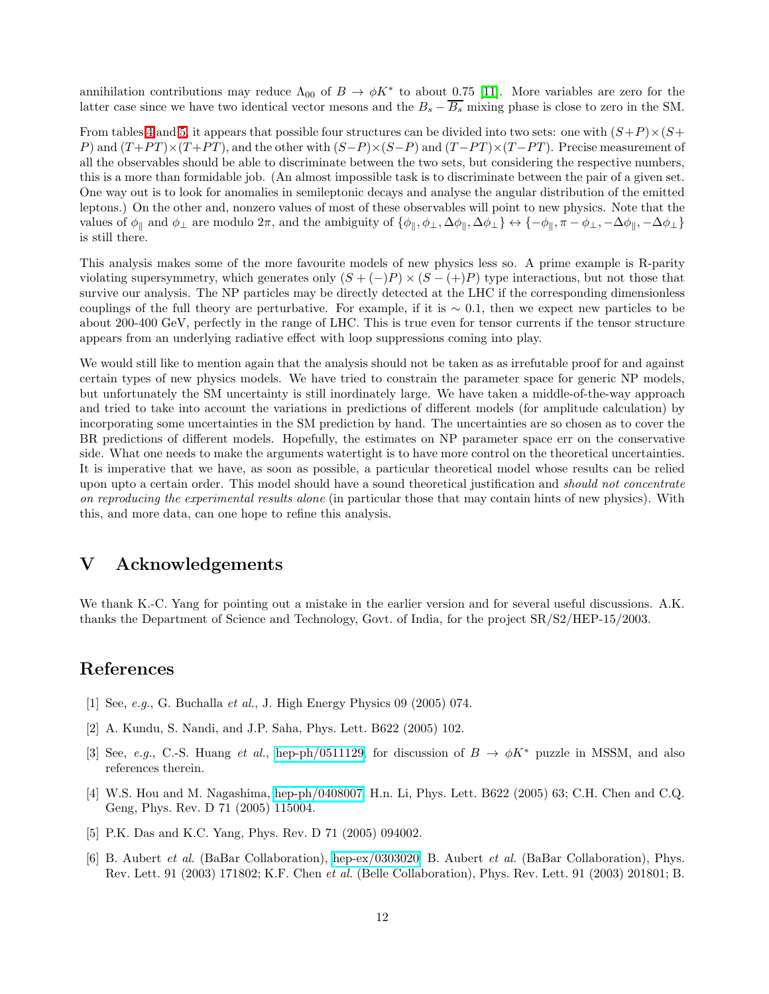annihilation contributions may reduce  $\Lambda_{00}$  of  $B \to \phi K^*$  to about 0.75 [\[11\]](#page-12-4). More variables are zero for the latter case since we have two identical vector mesons and the  $B_s - \overline{B_s}$  mixing phase is close to zero in the SM.

From tables [4](#page-10-0) and [5,](#page-10-1) it appears that possible four structures can be divided into two sets: one with  $(S+P) \times (S+P)$ P) and  $(T+PT) \times (T+PT)$ , and the other with  $(S-P) \times (S-P)$  and  $(T-PT) \times (T-PT)$ . Precise measurement of all the observables should be able to discriminate between the two sets, but considering the respective numbers, this is a more than formidable job. (An almost impossible task is to discriminate between the pair of a given set. One way out is to look for anomalies in semileptonic decays and analyse the angular distribution of the emitted leptons.) On the other and, nonzero values of most of these observables will point to new physics. Note that the values of  $\phi_{\parallel}$  and  $\phi_{\perp}$  are modulo  $2\pi$ , and the ambiguity of  $\{\phi_{\parallel}, \phi_{\perp}, \Delta\phi_{\parallel}, \Delta\phi_{\perp}\} \leftrightarrow \{-\phi_{\parallel}, \pi - \phi_{\perp}, -\Delta\phi_{\parallel}, -\Delta\phi_{\perp}\}$ is still there.

This analysis makes some of the more favourite models of new physics less so. A prime example is R-parity violating supersymmetry, which generates only  $(S + (-)P) \times (S - (+)P)$  type interactions, but not those that survive our analysis. The NP particles may be directly detected at the LHC if the corresponding dimensionless couplings of the full theory are perturbative. For example, if it is  $\sim 0.1$ , then we expect new particles to be about 200-400 GeV, perfectly in the range of LHC. This is true even for tensor currents if the tensor structure appears from an underlying radiative effect with loop suppressions coming into play.

We would still like to mention again that the analysis should not be taken as as irrefutable proof for and against certain types of new physics models. We have tried to constrain the parameter space for generic NP models, but unfortunately the SM uncertainty is still inordinately large. We have taken a middle-of-the-way approach and tried to take into account the variations in predictions of different models (for amplitude calculation) by incorporating some uncertainties in the SM prediction by hand. The uncertainties are so chosen as to cover the BR predictions of different models. Hopefully, the estimates on NP parameter space err on the conservative side. What one needs to make the arguments watertight is to have more control on the theoretical uncertainties. It is imperative that we have, as soon as possible, a particular theoretical model whose results can be relied upon upto a certain order. This model should have a sound theoretical justification and *should not concentrate* on reproducing the experimental results alone (in particular those that may contain hints of new physics). With this, and more data, can one hope to refine this analysis.

# V Acknowledgements

We thank K.-C. Yang for pointing out a mistake in the earlier version and for several useful discussions. A.K. thanks the Department of Science and Technology, Govt. of India, for the project SR/S2/HEP-15/2003.

# <span id="page-11-0"></span>References

- <span id="page-11-1"></span>[1] See, e.g., G. Buchalla et al., J. High Energy Physics 09 (2005) 074.
- <span id="page-11-2"></span>[2] A. Kundu, S. Nandi, and J.P. Saha, Phys. Lett. B622 (2005) 102.
- <span id="page-11-3"></span>[3] See, e.g., C.-S. Huang et al., [hep-ph/0511129,](http://arxiv.org/abs/hep-ph/0511129) for discussion of  $B \to \phi K^*$  puzzle in MSSM, and also references therein.
- [4] W.S. Hou and M. Nagashima, [hep-ph/0408007;](http://arxiv.org/abs/hep-ph/0408007) H.n. Li, Phys. Lett. B622 (2005) 63; C.H. Chen and C.Q. Geng, Phys. Rev. D 71 (2005) 115004.
- <span id="page-11-5"></span><span id="page-11-4"></span>[5] P.K. Das and K.C. Yang, Phys. Rev. D 71 (2005) 094002.
- [6] B. Aubert et al. (BaBar Collaboration), [hep-ex/0303020;](http://arxiv.org/abs/hep-ex/0303020) B. Aubert et al. (BaBar Collaboration), Phys. Rev. Lett. 91 (2003) 171802; K.F. Chen et al. (Belle Collaboration), Phys. Rev. Lett. 91 (2003) 201801; B.